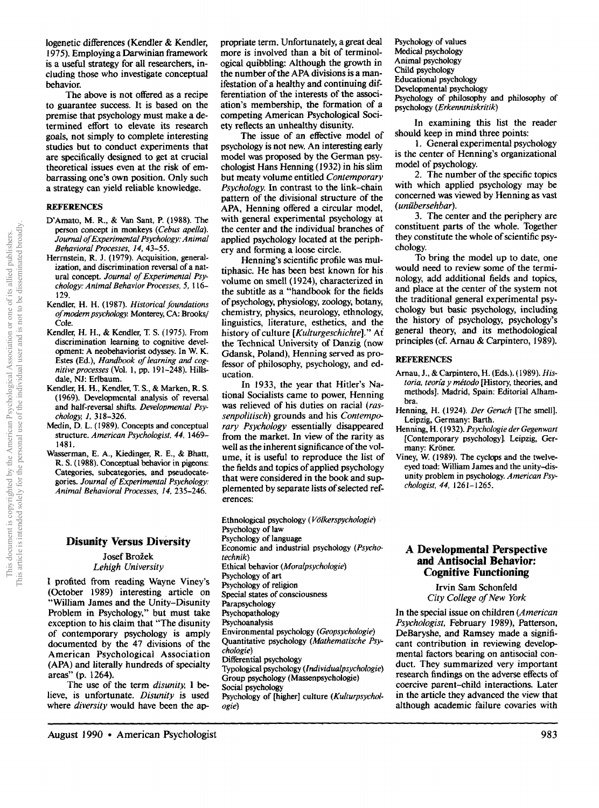iogenetic differences (Kendler & Kendler, 1975). Employing a Darwinian framework is a useful strategy for all researchers, including those who investigate conceptual behavior.

The above is not offered as a recipe to guarantee success. It is based on the premise that psychology must make a determined effort to elevate its research goals, not simply to complete interesting studies but to conduct experiments that are specifically designed to get at crucial theoretical issues even at the risk of embarrassing one's own position. Only such a strategy can yield reliable knowledge.

#### **REFERENCES**

- D'Amato, M. R., & Van Sant, P. (1988). The person concept in monkeys *(Cebus apella). Journal of Experimental Psychology." Animal Behavioral Processes. 14,* 43-55.
- Herrnstein, R. J. (1979). Acquisition, generalization, and discrimination reversal of a natural concept. *Journal of Experimental Psychology: Animal Behavior Processes,* 5, 116- 129.
- Kendler, H. H. (1987). *Historical foundations of modern psychology* Monterey, CA: Brooks/ Cole.
- Kendler, H. H., & Kendler, T. S. (1975). From discrimination learning to cognitive development: A neobehaviorist odyssey. In W. K. Estes (Ed.), *Handbook of learning and cognitiveprocesses* (Vol. l, pp. 191-248). Hillsdale, NJ: Erlbaum.
- Kendler, H. H., Kendler, T. S., & Marken, R. S. (1969). Developmental analysis of reversal and half-reversal shifts. *Developmental Psychology, 1,* 318-326.
- Medin, D. L. (1989). Concepts and conceptual structure. *American Psychologist, 44,* 1469- 1481.
- Wasserman, E, A., Kiedinger, R. E., & Bhatt, R. S. (1988). Conceptual behavior in pigeons: Categories, subcategories, and pseudocategories. *Journal of Experimental Psychology: Animal Behavioral Processes, 14,* 235-246.

## **Disunity Versus Diversity**

Josef Brožek *Lehigh University* 

I profited from reading Wayne Viney's (October 1989) interesting article on "William James and the Unity-Disunity Problem in Psychology," but must take exception to his claim that "The disunity of contemporary psychology is amply documented by the 47 divisions of the American Psychological Association (APA) and literally hundreds of specialty areas" (p. 1264).

The use of the term *disunity, I be*lieve, is unfortunate. *Disunity* is used where *diversity* would have been the appropriate term. Unfortunately, a great deal more is involved than a bit of terminological quibbling: Although the growth in the number of the APA divisions is a manifestation of a healthy and continuing differentiation of the interests of the association's membership, the formation of a competing American Psychological Society reflects an unhealthy disunity.

The issue of an effective model of psychology is not new. An interesting early model was proposed by the German psychologist Hans Henning (1932) in his slim but meaty volume entitled *Contemporary Psychology.* In contrast to the link-chain pattern of the divisional structure of the APA, Henning offered a circular model, with general experimental psychology at the center and the individual branches of applied psychology located at the periphery and forming a loose circle.

Henning's scientific profile was multiphasic. He has been best known for his volume on smell (1924), characterized in the subtitle as a "handbook for the fields of psychology, physiology, zoology, botany, chemistry, physics, neurology, ethnology, linguistics, literature, esthetics, and the history of culture *[Kulturgeschichte]." Ai*  the Technical University of Danzig (now Gdansk, Poland), Henning served as professor of philosophy, psychology, and education.

In 1933, the year that Hitler's National Socialists came to power, Henning was relieved of his duties on racial *(rassenpolitisch)* grounds and his *Contemporary Psychology* essentially disappeared from the market. In view of the rarity as well as the inherent significance of the volume, it is useful to reproduce the list of the fields and topics of applied psychology that were considered in the book and supplemented by separate lists of selected references:

Ethnological psychology (Völkerspychologie) Psychology of law Psychology of language Economic and industrial psychology *(Psychotechnik)*  Ethical behavior *(Moralpsychologie)*  Psychology of art Psychology of religion Special states of consciousness Parapsychology Psychopathology Psychoanalysis Environmental psychology (Geopsychologie) Quantitative psychology *(Mathematische Psychologic)*  Differential psychology Typological psychology *(lndividualpsychologie)*  Group psychology (Massenpsychologie) Social psychology Psychology of [higher] culture *(Kulturpsychologie)* 

Psychology of values Medical psychology Animal psychology Child psychology Educational psychology Developmental psychology Psychology of philosophy and philosophy of psychology (Erkenntniskritik)

In examining this list the reader should keep in mind three points:

1. General experimental psychology is the center of Henning's organizational model of psychology.

2. The number of the specific topics with which applied psychology may be concerned was viewed by Henning as vast *(uniibersehbar).* 

3. The center and the periphery are constituent parts of the whole. Together they constitute the whole of scientific psychology.

To bring the model up to date, one would need to review some of the terminology, add additional fields and topics, and place at the center of the system not the traditional general experimental psychology but basic psychology, including the history of psychology, psychology's general theory, and its methodological principles (cf. Arnau & Carpintero, 1989).

#### **REFERENCES**

- Arnan, J., & Carpintero, H. (Eds.). (1989). *His*toria, teoría y método [History, theories, and methods]. Madrid, Spain: Editorial Alhambra.
- Henning, H. (1924). *Der Geruch* [The smell]. Leipzig, Germany: Barth.
- Henning, H. (1932). *Psychologie der Gegenwart*  [Contemporary psychology]. Leipzig, Germany: Kröner.
- Viney, W. (1989). The cyclops and the twelveeyed toad: William James and the unity-disunity problem in psychology. *American Psychologist, 44,* 1261-1265.

### **A Developmental Perspective and Antisocial Behavior: Cognitive Functioning**

Irvin Sam Schonfeld *City College of New York* 

In the special issue on children *(American Psychologist,* February 1989), Patterson, DeBaryshe, and Ramsey made a significant contribution in reviewing developmental factors bearing on antisocial conduct. They summarized very important research findings on the adverse effects of coercive parent-child interactions. Later **in** the article they advanced the view that although academic failure covaries with